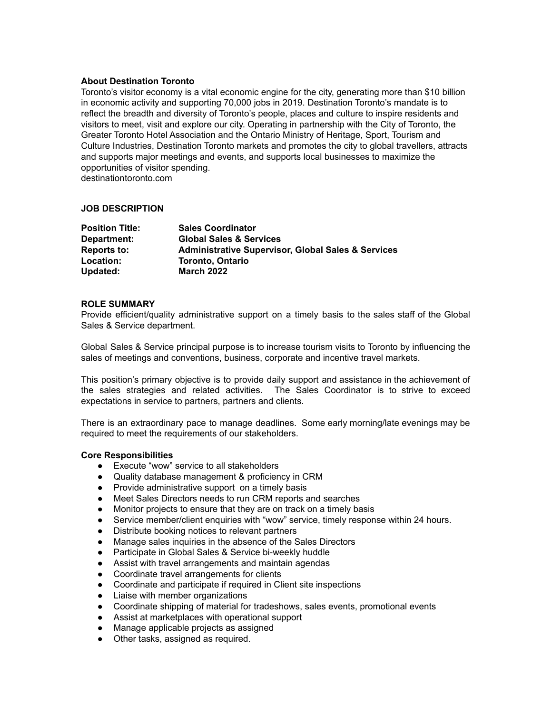#### **About Destination Toronto**

Toronto's visitor economy is a vital economic engine for the city, generating more than \$10 billion in economic activity and supporting 70,000 jobs in 2019. Destination Toronto's mandate is to reflect the breadth and diversity of Toronto's people, places and culture to inspire residents and visitors to meet, visit and explore our city. Operating in partnership with the City of Toronto, the Greater Toronto Hotel Association and the Ontario Ministry of Heritage, Sport, Tourism and Culture Industries, Destination Toronto markets and promotes the city to global travellers, attracts and supports major meetings and events, and supports local businesses to maximize the opportunities of visitor spending.

destinationtoronto.com

### **JOB DESCRIPTION**

| <b>Position Title:</b> | <b>Sales Coordinator</b>                                      |
|------------------------|---------------------------------------------------------------|
| Department:            | <b>Global Sales &amp; Services</b>                            |
| <b>Reports to:</b>     | <b>Administrative Supervisor, Global Sales &amp; Services</b> |
| Location:              | <b>Toronto, Ontario</b>                                       |
| Updated:               | <b>March 2022</b>                                             |

#### **ROLE SUMMARY**

Provide efficient/quality administrative support on a timely basis to the sales staff of the Global Sales & Service department.

Global Sales & Service principal purpose is to increase tourism visits to Toronto by influencing the sales of meetings and conventions, business, corporate and incentive travel markets.

This position's primary objective is to provide daily support and assistance in the achievement of the sales strategies and related activities. The Sales Coordinator is to strive to exceed expectations in service to partners, partners and clients.

There is an extraordinary pace to manage deadlines. Some early morning/late evenings may be required to meet the requirements of our stakeholders.

#### **Core Responsibilities**

- Execute "wow" service to all stakeholders
- Quality database management & proficiency in CRM
- Provide administrative support on a timely basis
- Meet Sales Directors needs to run CRM reports and searches
- Monitor projects to ensure that they are on track on a timely basis
- Service member/client enquiries with "wow" service, timely response within 24 hours.
- Distribute booking notices to relevant partners
- Manage sales inquiries in the absence of the Sales Directors
- Participate in Global Sales & Service bi-weekly huddle
- Assist with travel arrangements and maintain agendas
- Coordinate travel arrangements for clients
- Coordinate and participate if required in Client site inspections
- Liaise with member organizations
- Coordinate shipping of material for tradeshows, sales events, promotional events
- Assist at marketplaces with operational support
- Manage applicable projects as assigned
- Other tasks, assigned as required.